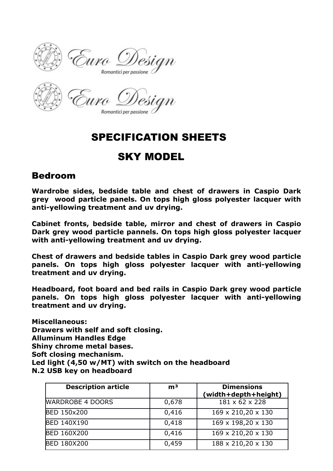

Romantici per passione

## SPECIFICATION SHEETS

## SKY MODEL

## Bedroom

**Wardrobe sides, bedside table and chest of drawers in Caspio Dark grey wood particle panels. On tops high gloss polyester lacquer with anti-yellowing treatment and uv drying.**

**Cabinet fronts, bedside table, mirror and chest of drawers in Caspio Dark grey wood particle pannels. On tops high gloss polyester lacquer with anti-yellowing treatment and uv drying.**

**Chest of drawers and bedside tables in Caspio Dark grey wood particle panels. On tops high gloss polyester lacquer with anti-yellowing treatment and uv drying.**

**Headboard, foot board and bed rails in Caspio Dark grey wood particle panels. On tops high gloss polyester lacquer with anti-yellowing treatment and uv drying.**

**Miscellaneous: Drawers with self and soft closing. Alluminum Handles Edge Shiny chrome metal bases. Soft closing mechanism. Led light (4,50 w/MT) with switch on the headboard N.2 USB key on headboard**

| <b>Description article</b> | m <sup>3</sup> | <b>Dimensions</b><br>(width+depth+height) |
|----------------------------|----------------|-------------------------------------------|
| <b>WARDROBE 4 DOORS</b>    | 0,678          | 181 x 62 x 228                            |
| <b>BED 150x200</b>         | 0,416          | 169 x 210,20 x 130                        |
| <b>BED 140X190</b>         | 0,418          | 169 x 198,20 x 130                        |
| <b>BED 160X200</b>         | 0,416          | 169 x 210,20 x 130                        |
| <b>BED 180X200</b>         | 0,459          | 188 x 210,20 x 130                        |